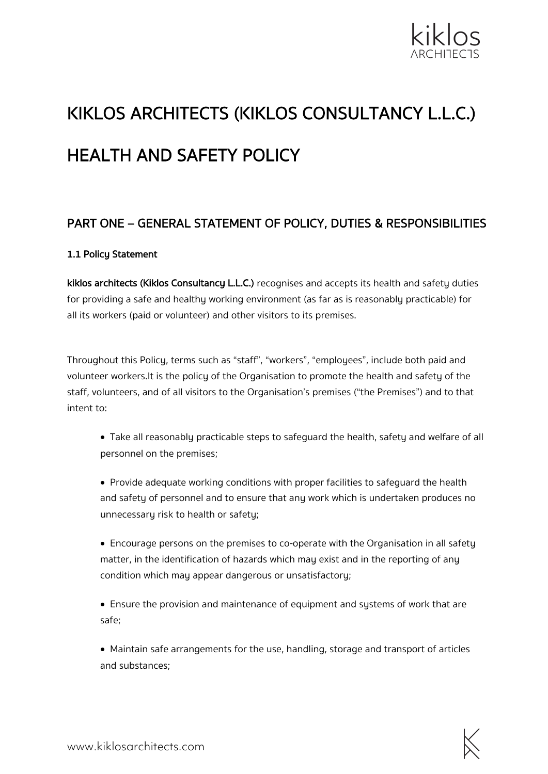

# KIKLOS ARCHITECTS (KIKLOS CONSULTANCY L.L.C.) HEALTH AND SAFETY POLICY

## PART ONE – GENERAL STATEMENT OF POLICY, DUTIES & RESPONSIBILITIES

#### 1.1 Policy Statement

kiklos architects (Kiklos Consultancy L.L.C.) recognises and accepts its health and safety duties for providing a safe and healthy working environment (as far as is reasonably practicable) for all its workers (paid or volunteer) and other visitors to its premises.

Throughout this Policy, terms such as "staff", "workers", "employees", include both paid and volunteer workers.It is the policy of the Organisation to promote the health and safety of the staff, volunteers, and of all visitors to the Organisation's premises ("the Premises") and to that intent to:

- Take all reasonably practicable steps to safeguard the health, safety and welfare of all personnel on the premises;
- Provide adequate working conditions with proper facilities to safeguard the health and safety of personnel and to ensure that any work which is undertaken produces no unnecessary risk to health or safety;
- Encourage persons on the premises to co-operate with the Organisation in all safety matter, in the identification of hazards which may exist and in the reporting of any condition which may appear dangerous or unsatisfactory;

• Ensure the provision and maintenance of equipment and systems of work that are safe;

• Maintain safe arrangements for the use, handling, storage and transport of articles and substances;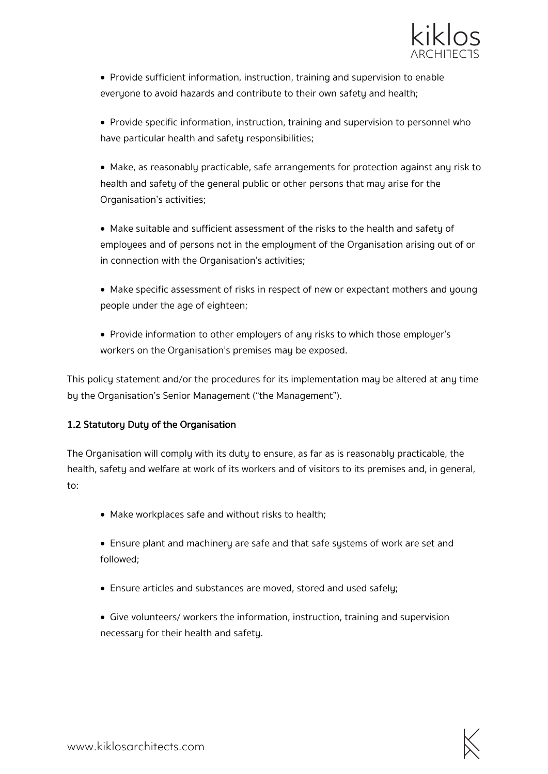

- Provide sufficient information, instruction, training and supervision to enable everyone to avoid hazards and contribute to their own safety and health;
- Provide specific information, instruction, training and supervision to personnel who have particular health and safety responsibilities;
- Make, as reasonably practicable, safe arrangements for protection against any risk to health and safety of the general public or other persons that may arise for the Organisation's activities;
- Make suitable and sufficient assessment of the risks to the health and safety of employees and of persons not in the employment of the Organisation arising out of or in connection with the Organisation's activities;
- Make specific assessment of risks in respect of new or expectant mothers and young people under the age of eighteen;
- Provide information to other employers of any risks to which those employer's workers on the Organisation's premises may be exposed.

This policy statement and/or the procedures for its implementation may be altered at any time by the Organisation's Senior Management ("the Management").

#### 1.2 Statutory Duty of the Organisation

The Organisation will comply with its duty to ensure, as far as is reasonably practicable, the health, safety and welfare at work of its workers and of visitors to its premises and, in general, to:

- Make workplaces safe and without risks to health;
- Ensure plant and machinery are safe and that safe systems of work are set and followed;
- Ensure articles and substances are moved, stored and used safely;
- Give volunteers/ workers the information, instruction, training and supervision necessary for their health and safety.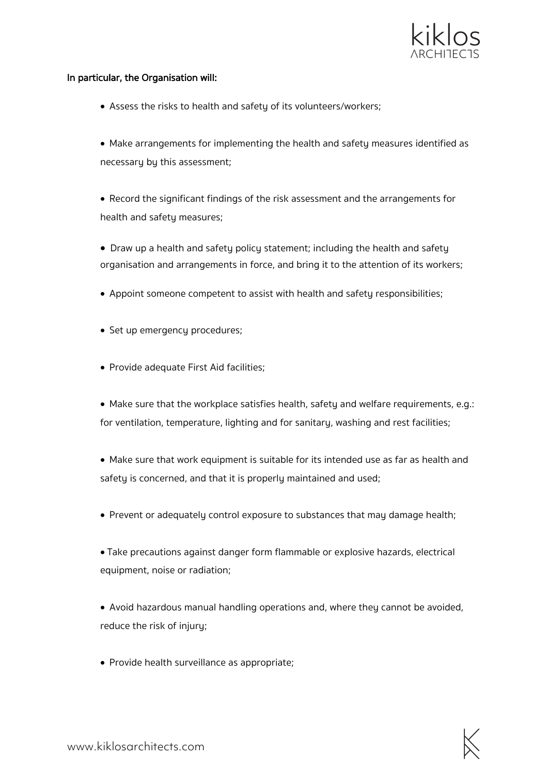

#### In particular, the Organisation will:

- Assess the risks to health and safetu of its volunteers/workers:
- Make arrangements for implementing the health and safety measures identified as necessary by this assessment;
- Record the significant findings of the risk assessment and the arrangements for health and safety measures;
- Draw up a health and safety policy statement; including the health and safety organisation and arrangements in force, and bring it to the attention of its workers;
- Appoint someone competent to assist with health and safety responsibilities;
- Set up emergency procedures;
- Provide adequate First Aid facilities;
- Make sure that the workplace satisfies health, safety and welfare requirements, e.g.: for ventilation, temperature, lighting and for sanitary, washing and rest facilities;
- Make sure that work equipment is suitable for its intended use as far as health and safety is concerned, and that it is properly maintained and used;
- Prevent or adequately control exposure to substances that may damage health;
- Take precautions against danger form flammable or explosive hazards, electrical equipment, noise or radiation;
- Avoid hazardous manual handling operations and, where they cannot be avoided, reduce the risk of injury;
- Provide health surveillance as appropriate;

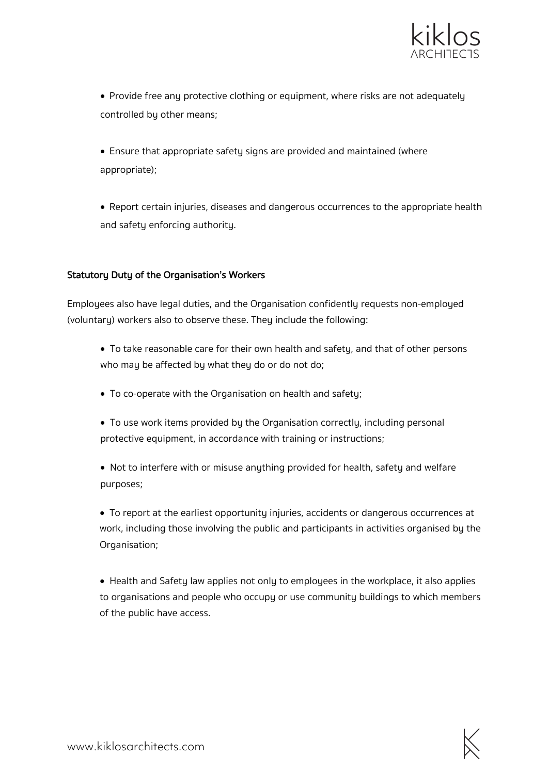

• Provide free any protective clothing or equipment, where risks are not adequately controlled by other means;

• Ensure that appropriate safety signs are provided and maintained (where appropriate);

• Report certain injuries, diseases and dangerous occurrences to the appropriate health and safety enforcing authority.

#### Statutory Duty of the Organisation's Workers

Employees also have legal duties, and the Organisation confidently requests non-employed (voluntary) workers also to observe these. They include the following:

- To take reasonable care for their own health and safety, and that of other persons who may be affected by what they do or do not do;
- To co-operate with the Organisation on health and safety;
- To use work items provided by the Organisation correctly, including personal protective equipment, in accordance with training or instructions;

• Not to interfere with or misuse anything provided for health, safety and welfare purposes;

• To report at the earliest opportunity injuries, accidents or dangerous occurrences at work, including those involving the public and participants in activities organised by the Organisation;

• Health and Safety law applies not only to employees in the workplace, it also applies to organisations and people who occupy or use community buildings to which members of the public have access.

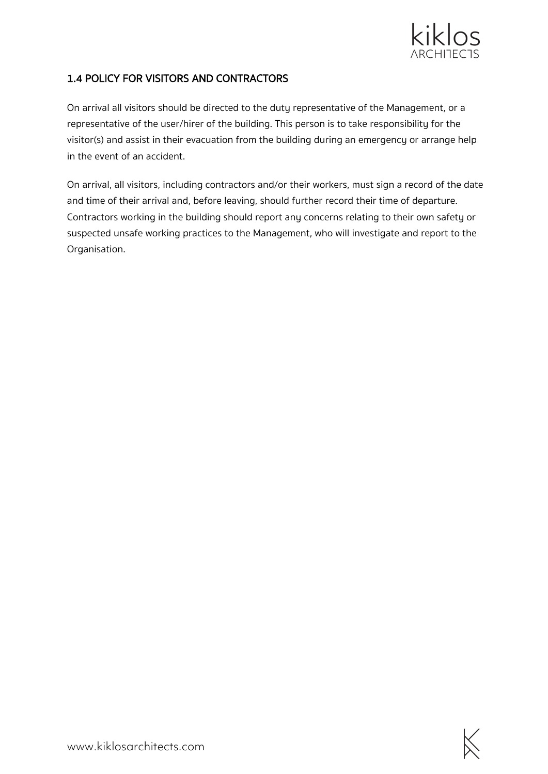

## 1.4 POLICY FOR VISITORS AND CONTRACTORS

On arrival all visitors should be directed to the duty representative of the Management, or a representative of the user/hirer of the building. This person is to take responsibility for the visitor(s) and assist in their evacuation from the building during an emergency or arrange help in the event of an accident.

On arrival, all visitors, including contractors and/or their workers, must sign a record of the date and time of their arrival and, before leaving, should further record their time of departure. Contractors working in the building should report any concerns relating to their own safety or suspected unsafe working practices to the Management, who will investigate and report to the Organisation.

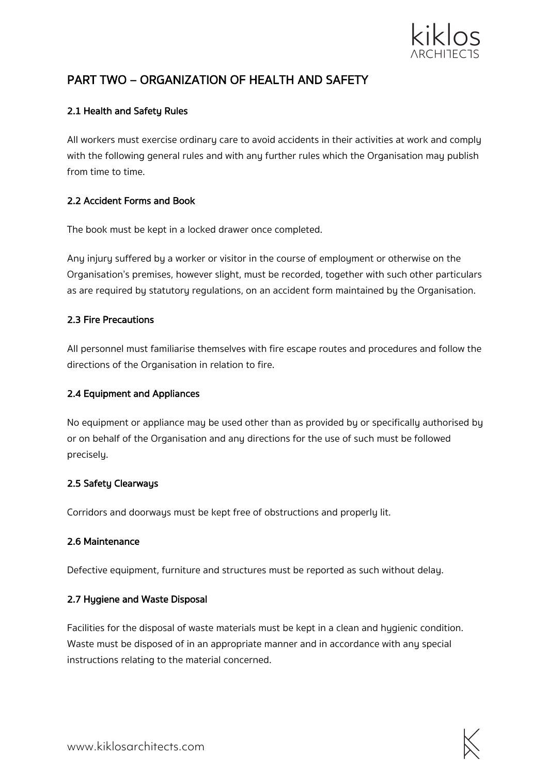

# PART TWO – ORGANIZATION OF HEALTH AND SAFETY

#### 2.1 Health and Safety Rules

All workers must exercise ordinary care to avoid accidents in their activities at work and comply with the following general rules and with any further rules which the Organisation may publish from time to time.

#### 2.2 Accident Forms and Book

The book must be kept in a locked drawer once completed.

Any injury suffered by a worker or visitor in the course of employment or otherwise on the Organisation's premises, however slight, must be recorded, together with such other particulars as are required by statutory regulations, on an accident form maintained by the Organisation.

#### 2.3 Fire Precautions

All personnel must familiarise themselves with fire escape routes and procedures and follow the directions of the Organisation in relation to fire.

#### 2.4 Equipment and Appliances

No equipment or appliance may be used other than as provided by or specifically authorised by or on behalf of the Organisation and any directions for the use of such must be followed precisely.

#### 2.5 Safety Clearways

Corridors and doorways must be kept free of obstructions and properly lit.

#### 2.6 Maintenance

Defective equipment, furniture and structures must be reported as such without delay.

#### 2.7 Hygiene and Waste Disposal

Facilities for the disposal of waste materials must be kept in a clean and hygienic condition. Waste must be disposed of in an appropriate manner and in accordance with any special instructions relating to the material concerned.

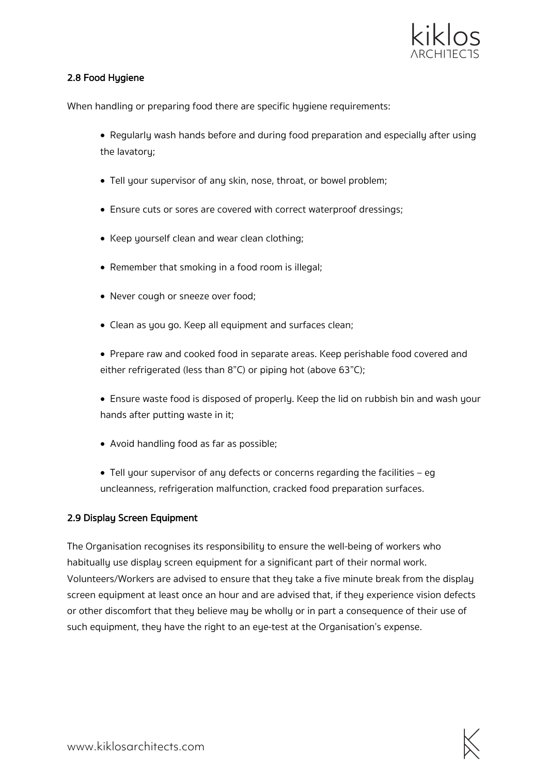

#### 2.8 Food Hygiene

When handling or preparing food there are specific hygiene requirements:

- Regularly wash hands before and during food preparation and especially after using the lavatory;
- Tell your supervisor of any skin, nose, throat, or bowel problem;
- Ensure cuts or sores are covered with correct waterproof dressings;
- Keep yourself clean and wear clean clothing;
- Remember that smoking in a food room is illegal;
- Never cough or sneeze over food;
- Clean as you go. Keep all equipment and surfaces clean;
- Prepare raw and cooked food in separate areas. Keep perishable food covered and either refrigerated (less than 8"C) or piping hot (above 63"C);
- Ensure waste food is disposed of properly. Keep the lid on rubbish bin and wash your hands after putting waste in it;
- Avoid handling food as far as possible;
- Tell your supervisor of any defects or concerns regarding the facilities eg uncleanness, refrigeration malfunction, cracked food preparation surfaces.

#### 2.9 Display Screen Equipment

The Organisation recognises its responsibility to ensure the well-being of workers who habitually use display screen equipment for a significant part of their normal work. Volunteers/Workers are advised to ensure that they take a five minute break from the display screen equipment at least once an hour and are advised that, if they experience vision defects or other discomfort that they believe may be wholly or in part a consequence of their use of such equipment, they have the right to an eye-test at the Organisation's expense.

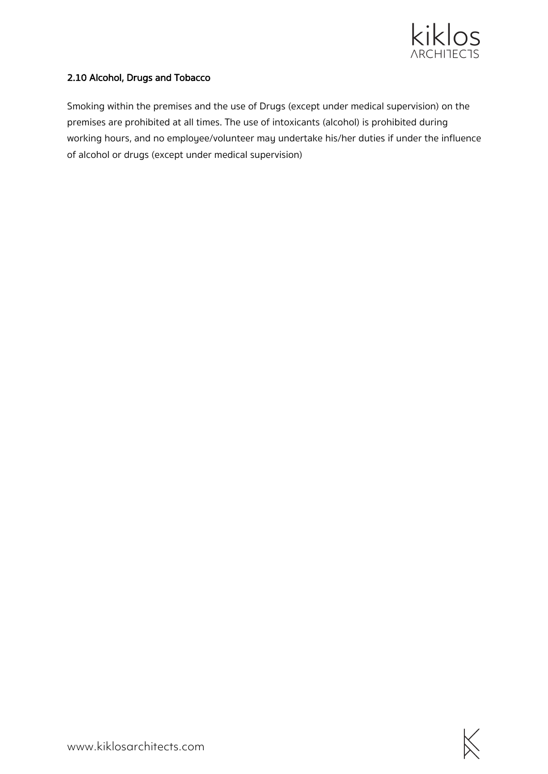

#### 2.10 Alcohol, Drugs and Tobacco

Smoking within the premises and the use of Drugs (except under medical supervision) on the premises are prohibited at all times. The use of intoxicants (alcohol) is prohibited during working hours, and no employee/volunteer may undertake his/her duties if under the influence of alcohol or drugs (except under medical supervision)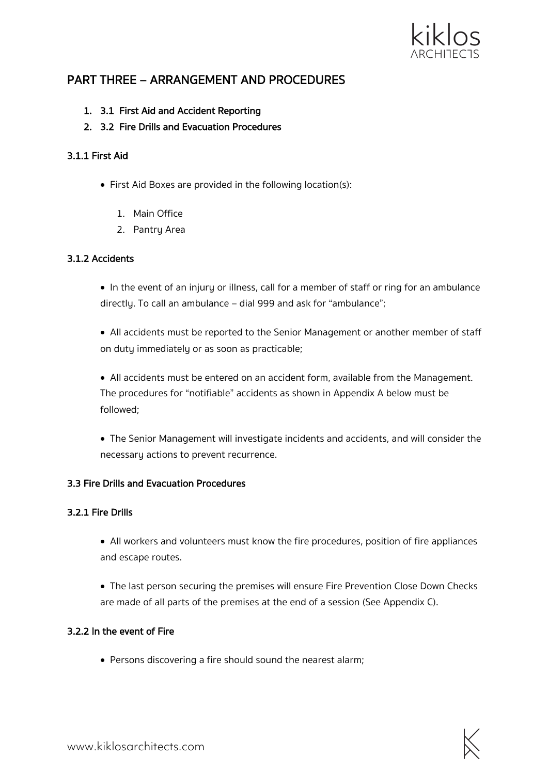

# PART THREE – ARRANGEMENT AND PROCEDURES

- 1. 3.1 First Aid and Accident Reporting
- 2. 3.2 Fire Drills and Evacuation Procedures

#### 3.1.1 First Aid

- First Aid Boxes are provided in the following location(s):
	- 1. Main Office
	- 2. Pantry Area

#### 3.1.2 Accidents

• In the event of an injury or illness, call for a member of staff or ring for an ambulance directly. To call an ambulance – dial 999 and ask for "ambulance";

• All accidents must be reported to the Senior Management or another member of staff on duty immediately or as soon as practicable;

• All accidents must be entered on an accident form, available from the Management. The procedures for "notifiable" accidents as shown in Appendix A below must be followed;

• The Senior Management will investigate incidents and accidents, and will consider the necessary actions to prevent recurrence.

#### 3.3 Fire Drills and Evacuation Procedures

#### 3.2.1 Fire Drills

- All workers and volunteers must know the fire procedures, position of fire appliances and escape routes.
- The last person securing the premises will ensure Fire Prevention Close Down Checks are made of all parts of the premises at the end of a session (See Appendix C).

#### 3.2.2 In the event of Fire

• Persons discovering a fire should sound the nearest alarm;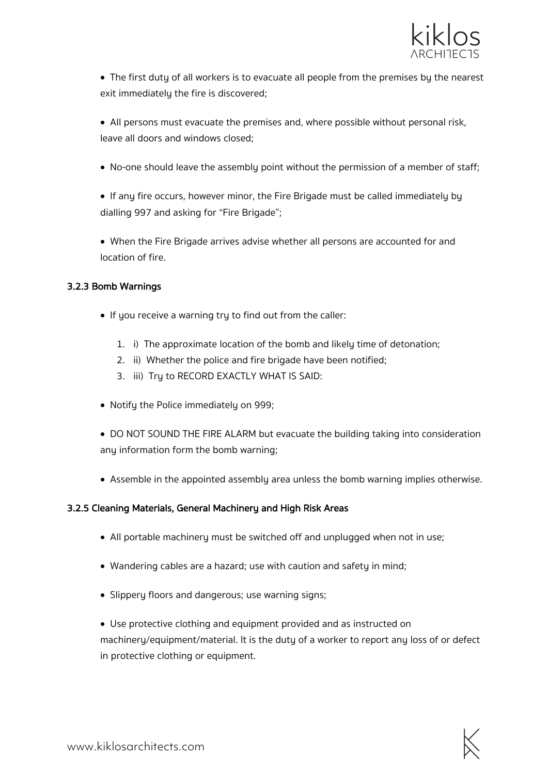

• The first duty of all workers is to evacuate all people from the premises by the nearest exit immediately the fire is discovered;

• All persons must evacuate the premises and, where possible without personal risk, leave all doors and windows closed;

• No-one should leave the assembly point without the permission of a member of staff;

• If any fire occurs, however minor, the Fire Brigade must be called immediately by dialling 997 and asking for "Fire Brigade";

• When the Fire Brigade arrives advise whether all persons are accounted for and location of fire.

#### 3.2.3 Bomb Warnings

- If you receive a warning try to find out from the caller:
	- 1. i) The approximate location of the bomb and likely time of detonation;
	- 2. ii) Whether the police and fire brigade have been notified;
	- 3. iii) Try to RECORD EXACTLY WHAT IS SAID:
- Notify the Police immediately on 999;
- DO NOT SOUND THE FIRE ALARM but evacuate the building taking into consideration any information form the bomb warning;
- Assemble in the appointed assembly area unless the bomb warning implies otherwise.

#### 3.2.5 Cleaning Materials, General Machinery and High Risk Areas

- All portable machinery must be switched off and unplugged when not in use;
- Wandering cables are a hazard; use with caution and safety in mind;
- Slippery floors and dangerous; use warning signs;
- Use protective clothing and equipment provided and as instructed on machinery/equipment/material. It is the duty of a worker to report any loss of or defect in protective clothing or equipment.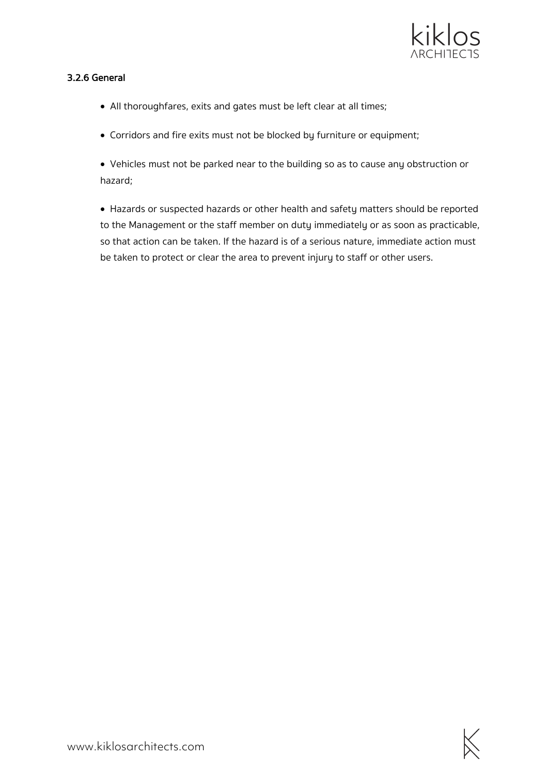

#### 3.2.6 General

- All thoroughfares, exits and gates must be left clear at all times;
- Corridors and fire exits must not be blocked by furniture or equipment;

• Vehicles must not be parked near to the building so as to cause any obstruction or hazard;

• Hazards or suspected hazards or other health and safety matters should be reported to the Management or the staff member on duty immediately or as soon as practicable, so that action can be taken. If the hazard is of a serious nature, immediate action must be taken to protect or clear the area to prevent injury to staff or other users.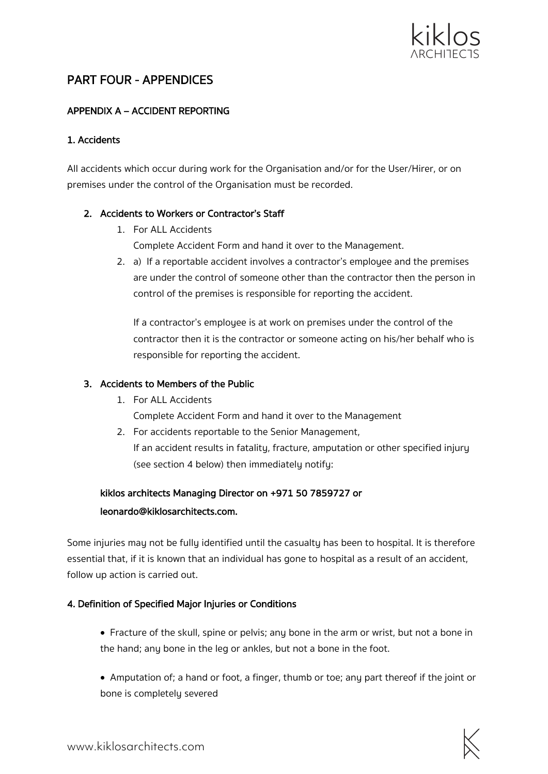

# PART FOUR - APPENDICES

## APPENDIX A – ACCIDENT REPORTING

#### 1. Accidents

All accidents which occur during work for the Organisation and/or for the User/Hirer, or on premises under the control of the Organisation must be recorded.

#### 2. Accidents to Workers or Contractor's Staff

- 1. For ALL Accidents Complete Accident Form and hand it over to the Management.
- 2. a) If a reportable accident involves a contractor's employee and the premises are under the control of someone other than the contractor then the person in control of the premises is responsible for reporting the accident.

If a contractor's employee is at work on premises under the control of the contractor then it is the contractor or someone acting on his/her behalf who is responsible for reporting the accident.

#### 3. Accidents to Members of the Public

- 1. For ALL Accidents
	- Complete Accident Form and hand it over to the Management
- 2. For accidents reportable to the Senior Management, If an accident results in fatality, fracture, amputation or other specified injury (see section 4 below) then immediately notify:

# kiklos architects Managing Director on +971 50 7859727 or leonardo@kiklosarchitects.com.

Some injuries may not be fully identified until the casualty has been to hospital. It is therefore essential that, if it is known that an individual has gone to hospital as a result of an accident, follow up action is carried out.

#### 4. Definition of Specified Major Injuries or Conditions

- Fracture of the skull, spine or pelvis; any bone in the arm or wrist, but not a bone in the hand; any bone in the leg or ankles, but not a bone in the foot.
- Amputation of; a hand or foot, a finger, thumb or toe; any part thereof if the joint or bone is completely severed

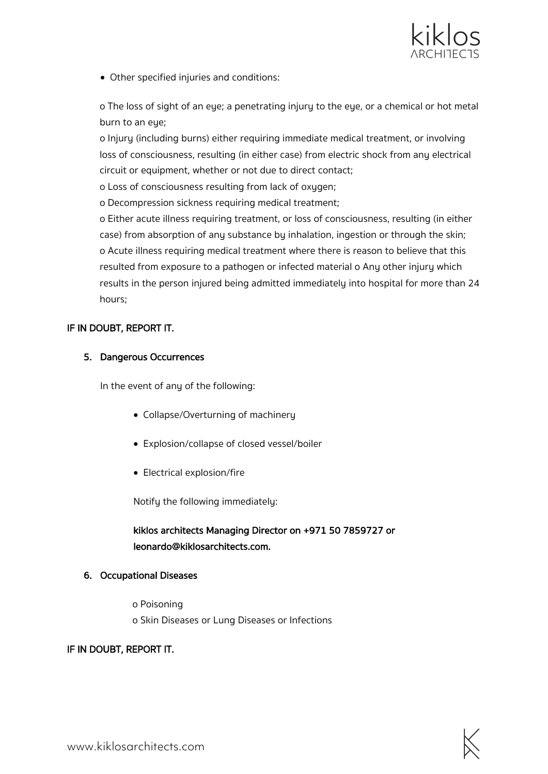

• Other specified injuries and conditions:

o The loss of sight of an eye; a penetrating injury to the eye, or a chemical or hot metal burn to an eye;

o Injury (including burns) either requiring immediate medical treatment, or involving loss of consciousness, resulting (in either case) from electric shock from any electrical circuit or equipment, whether or not due to direct contact;

o Loss of consciousness resulting from lack of oxygen;

o Decompression sickness requiring medical treatment;

o Either acute illness requiring treatment, or loss of consciousness, resulting (in either case) from absorption of any substance by inhalation, ingestion or through the skin; o Acute illness requiring medical treatment where there is reason to believe that this resulted from exposure to a pathogen or infected material o Any other injury which results in the person injured being admitted immediately into hospital for more than 24 hours;

#### IF IN DOUBT, REPORT IT.

#### 5. Dangerous Occurrences

In the event of any of the following:

- Collapse/Overturning of machinery
- Explosion/collapse of closed vessel/boiler
- Electrical explosion/fire

Notify the following immediately:

## kiklos architects Managing Director on +971 50 7859727 or leonardo@kiklosarchitects.com.

#### 6. Occupational Diseases

o Poisoning o Skin Diseases or Lung Diseases or Infections

#### IF IN DOUBT, REPORT IT.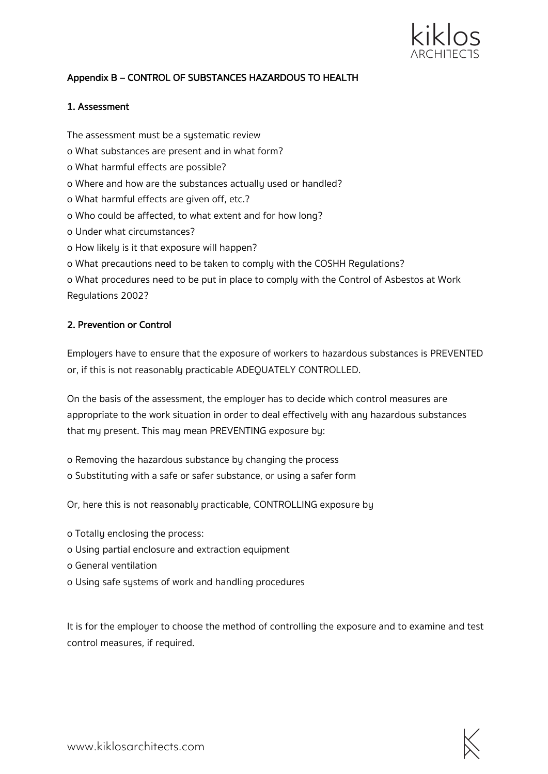

## Appendix B – CONTROL OF SUBSTANCES HAZARDOUS TO HEALTH

#### 1. Assessment

The assessment must be a systematic review o What substances are present and in what form? o What harmful effects are possible? o Where and how are the substances actually used or handled? o What harmful effects are given off, etc.? o Who could be affected, to what extent and for how long? o Under what circumstances? o How likely is it that exposure will happen? o What precautions need to be taken to comply with the COSHH Regulations? o What procedures need to be put in place to comply with the Control of Asbestos at Work

Regulations 2002?

#### 2. Prevention or Control

Employers have to ensure that the exposure of workers to hazardous substances is PREVENTED or, if this is not reasonably practicable ADEQUATELY CONTROLLED.

On the basis of the assessment, the employer has to decide which control measures are appropriate to the work situation in order to deal effectively with any hazardous substances that my present. This may mean PREVENTING exposure by:

o Removing the hazardous substance by changing the process o Substituting with a safe or safer substance, or using a safer form

Or, here this is not reasonably practicable, CONTROLLING exposure by

- o Totally enclosing the process:
- o Using partial enclosure and extraction equipment
- o General ventilation
- o Using safe systems of work and handling procedures

It is for the employer to choose the method of controlling the exposure and to examine and test control measures, if required.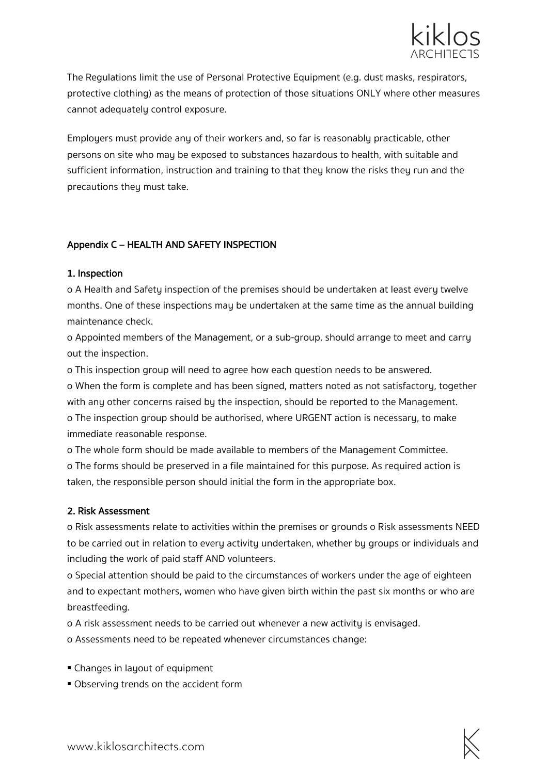

The Regulations limit the use of Personal Protective Equipment (e.g. dust masks, respirators, protective clothing) as the means of protection of those situations ONLY where other measures cannot adequately control exposure.

Employers must provide any of their workers and, so far is reasonably practicable, other persons on site who may be exposed to substances hazardous to health, with suitable and sufficient information, instruction and training to that they know the risks they run and the precautions they must take.

#### Appendix C – HEALTH AND SAFETY INSPECTION

#### 1. Inspection

o A Health and Safety inspection of the premises should be undertaken at least every twelve months. One of these inspections may be undertaken at the same time as the annual building maintenance check.

o Appointed members of the Management, or a sub-group, should arrange to meet and carry out the inspection.

o This inspection group will need to agree how each question needs to be answered.

o When the form is complete and has been signed, matters noted as not satisfactory, together with any other concerns raised by the inspection, should be reported to the Management. o The inspection group should be authorised, where URGENT action is necessary, to make immediate reasonable response.

o The whole form should be made available to members of the Management Committee. o The forms should be preserved in a file maintained for this purpose. As required action is taken, the responsible person should initial the form in the appropriate box.

#### 2. Risk Assessment

o Risk assessments relate to activities within the premises or grounds o Risk assessments NEED to be carried out in relation to every activity undertaken, whether by groups or individuals and including the work of paid staff AND volunteers.

o Special attention should be paid to the circumstances of workers under the age of eighteen and to expectant mothers, women who have given birth within the past six months or who are breastfeeding.

o A risk assessment needs to be carried out whenever a new activity is envisaged.

o Assessments need to be repeated whenever circumstances change:

- § Changes in layout of equipment
- § Observing trends on the accident form